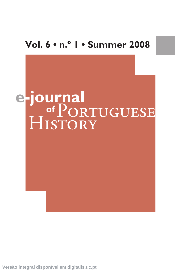# **Vol. 6 • n.º 1 • Summer 2008**



**Versão integral disponível em digitalis.uc.pt**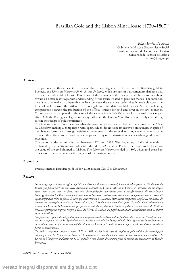# Brazilian Gold and the Lisbon Mint House (1720–1807)<sup>\*</sup>

*Rita Martins De Sousa* Gabinete de História Económica e Social Instituto Superior de Economia e Gestão Universidade Técnica de Lisboa martins@iseg.utl.pt

#### **Abstract**

The purpose of this article is to present the official registers of the arrival of Brazilian gold in Portugal, the *Livros dos Manifestos do 1% do ouro do Brasil*, which are part of a documentary database that exists at the Lisbon Mint House. Discussion of this source and the data provided by it can contribute towards a better historiographic understanding of the issues related to precious metals. The intention here is also to make a comparative analysis between the statistical series already available about the flow of gold across the Atlantic to Portugal and the data available about Spain, facilitating comparisons between the production of the official sources for gold and silver in the two countries. Contrary to what happened in the case of the *Casa de la Contratación*, which lost control over cargoes after 1668, the Portuguese legislation always afforded the Lisbon Mint House a relatively centralizing role in the receipt of gold remittances.

The first section of this article describes the institutional framework behind the source of the *Livros dos Manifestos*, making a comparison with Spain, which did not lose its relative homogeneity in spite of the changes introduced through legislative procedures. In the second section, a comparison is made between this official source and the results provided by other statistical series describing gold flows at that time.

The period under scrutiny is that between 1720 and 1807. The beginning of this time scale is explained by the centralization policy introduced in 1720 when a 1% tax first began to be levied on the value of the gold shipped to Lisbon. The *Livros dos Manifestos* ended in 1807, when gold ceased to be a source of tax revenue for the budgets of the Portuguese state.

# **Keywords**

Precious metals; Brazilian gold; Lisbon Mint House; *Casa de la Contratación*

#### *Resumo*

*Neste artigo apresenta-se os registos oficiais das chegadas de ouro a Portugal, Livros de Manifestos do 1% do ouro do Brasil, que fazem parte de um acervo documental existente na Casa da Moeda de Lisboa. A discussão da construção desta fonte, assim como os dados por esta disponibilizados contribuem para o aperfeiçoamento do conhecimento historiográfico das temáticas relacionadas com metais preciosos. Perspectiva-se uma análise comparativa com as séries até agora disponíveis sobre os fluxos de ouro que atravessaram o Atlântico. Este estudo comparado amplia-se, em termos do processo de construção de ambas as fontes oficiais, às séries da prata disponíveis para Espanha. Contrariamente ao ocorrido na Casa de la Contratación que perdeu o controlo dos fluxos de prata chegados a Sevilha depois de 1668, a legislação portuguesa conferiu sempre à Casa da Moeda de Lisboa um papel relativamente centralizador sobre os fluxos de ouro brasileiro.*

*Na primeira secção deste artigo apresenta-se o enquadramento institucional de produção dos Livros de Manifestos que, apesar de algumas alterações legislativas nunca perdeu a sua relativa homogeneidade. Na segunda secção confrontam-se os resultados sobre os fluxos de ouro obtidos através dos Livros de Manifestos com os apresentados em diversos estudos a partir de outras fontes.*

*Os limites temporais situam-se entre 1720 e 1807. O início do período explica-se pela política de centralização introduzida em 1720, quando a taxa de 1% passou a ser cobrada sobre o valor do ouro remetido para Lisboa. Os Livros de Manifestos finalizam em 1807 quando o ouro deixou de ser uma fonte de receita nos orçamentos do Estado Português.*

*e-JPH, Vol. 6, number 1, Summer 2008*